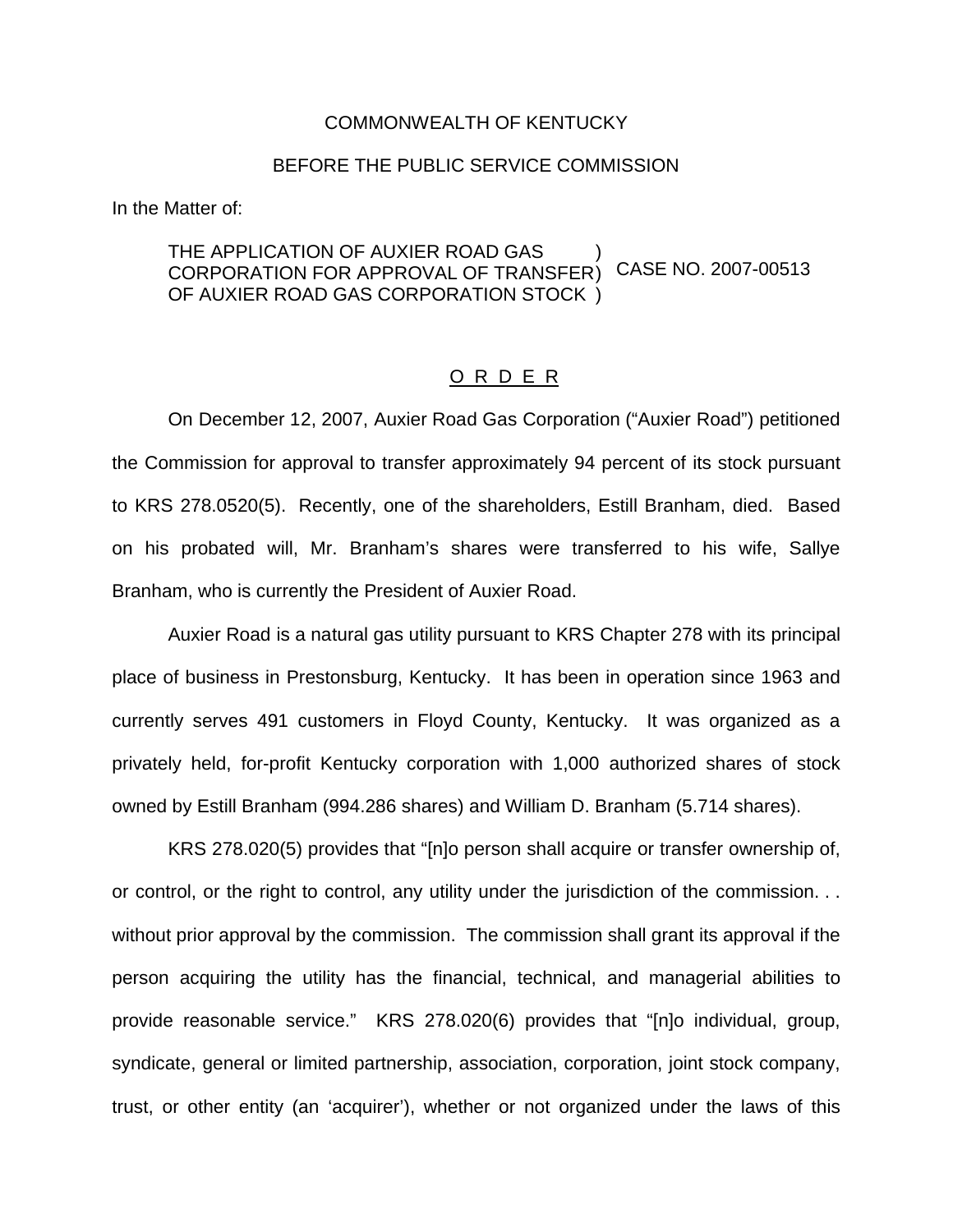## COMMONWEALTH OF KENTUCKY

## BEFORE THE PUBLIC SERVICE COMMISSION

In the Matter of:

## THE APPLICATION OF AUXIER ROAD GAS CORPORATION FOR APPROVAL OF TRANSFER OF AUXIER ROAD GAS CORPORATION STOCK ) ) ) CASE NO. 2007-00513

## O R D E R

On December 12, 2007, Auxier Road Gas Corporation ("Auxier Road") petitioned the Commission for approval to transfer approximately 94 percent of its stock pursuant to KRS 278.0520(5). Recently, one of the shareholders, Estill Branham, died. Based on his probated will, Mr. Branham's shares were transferred to his wife, Sallye Branham, who is currently the President of Auxier Road.

Auxier Road is a natural gas utility pursuant to KRS Chapter 278 with its principal place of business in Prestonsburg, Kentucky. It has been in operation since 1963 and currently serves 491 customers in Floyd County, Kentucky. It was organized as a privately held, for-profit Kentucky corporation with 1,000 authorized shares of stock owned by Estill Branham (994.286 shares) and William D. Branham (5.714 shares).

KRS 278.020(5) provides that "[n]o person shall acquire or transfer ownership of, or control, or the right to control, any utility under the jurisdiction of the commission. . . without prior approval by the commission. The commission shall grant its approval if the person acquiring the utility has the financial, technical, and managerial abilities to provide reasonable service." KRS 278.020(6) provides that "[n]o individual, group, syndicate, general or limited partnership, association, corporation, joint stock company, trust, or other entity (an 'acquirer'), whether or not organized under the laws of this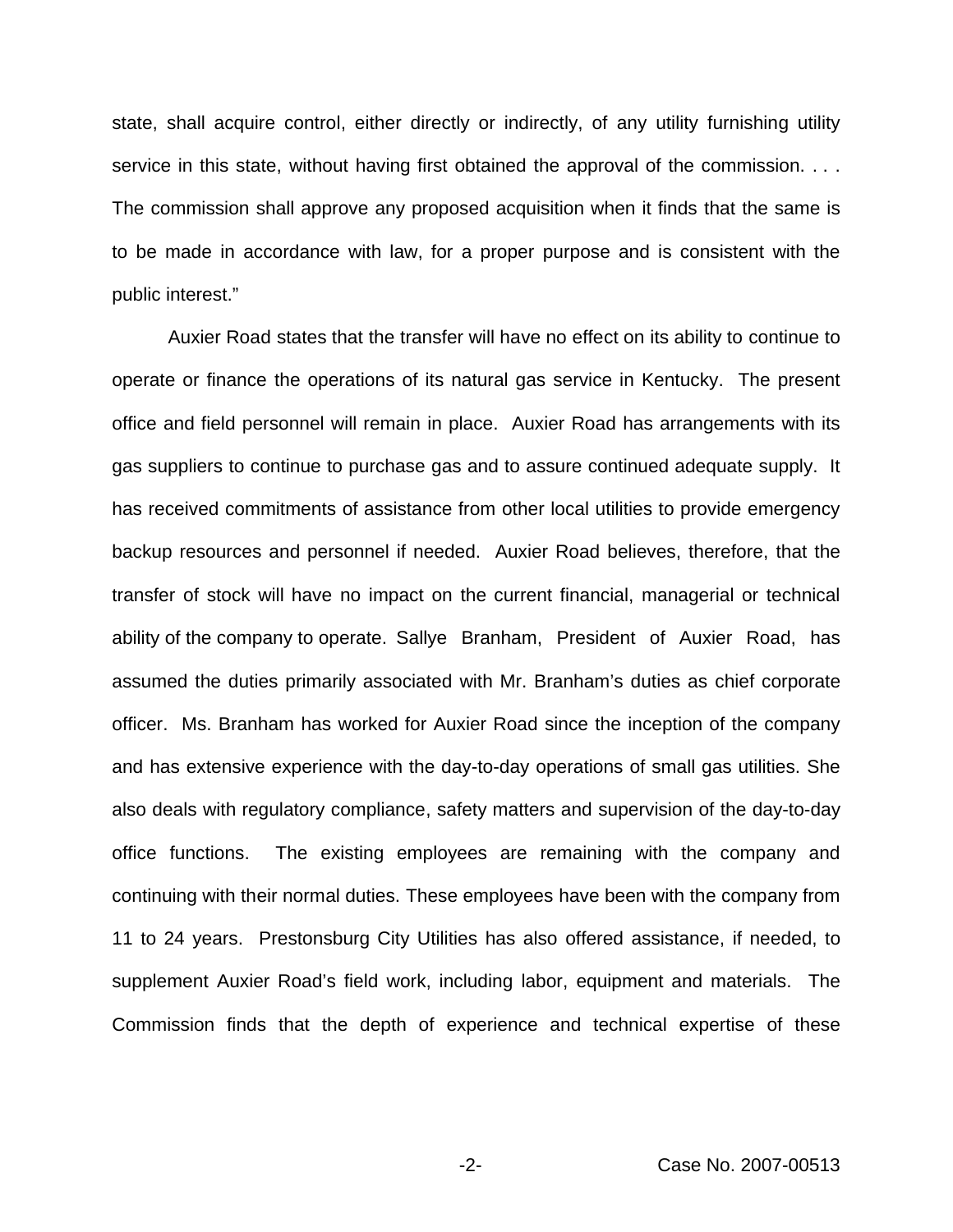state, shall acquire control, either directly or indirectly, of any utility furnishing utility service in this state, without having first obtained the approval of the commission. . . . The commission shall approve any proposed acquisition when it finds that the same is to be made in accordance with law, for a proper purpose and is consistent with the public interest."

Auxier Road states that the transfer will have no effect on its ability to continue to operate or finance the operations of its natural gas service in Kentucky. The present office and field personnel will remain in place. Auxier Road has arrangements with its gas suppliers to continue to purchase gas and to assure continued adequate supply. It has received commitments of assistance from other local utilities to provide emergency backup resources and personnel if needed. Auxier Road believes, therefore, that the transfer of stock will have no impact on the current financial, managerial or technical ability of the company to operate. Sallye Branham, President of Auxier Road, has assumed the duties primarily associated with Mr. Branham's duties as chief corporate officer. Ms. Branham has worked for Auxier Road since the inception of the company and has extensive experience with the day-to-day operations of small gas utilities. She also deals with regulatory compliance, safety matters and supervision of the day-to-day office functions. The existing employees are remaining with the company and continuing with their normal duties. These employees have been with the company from 11 to 24 years. Prestonsburg City Utilities has also offered assistance, if needed, to supplement Auxier Road's field work, including labor, equipment and materials. The Commission finds that the depth of experience and technical expertise of these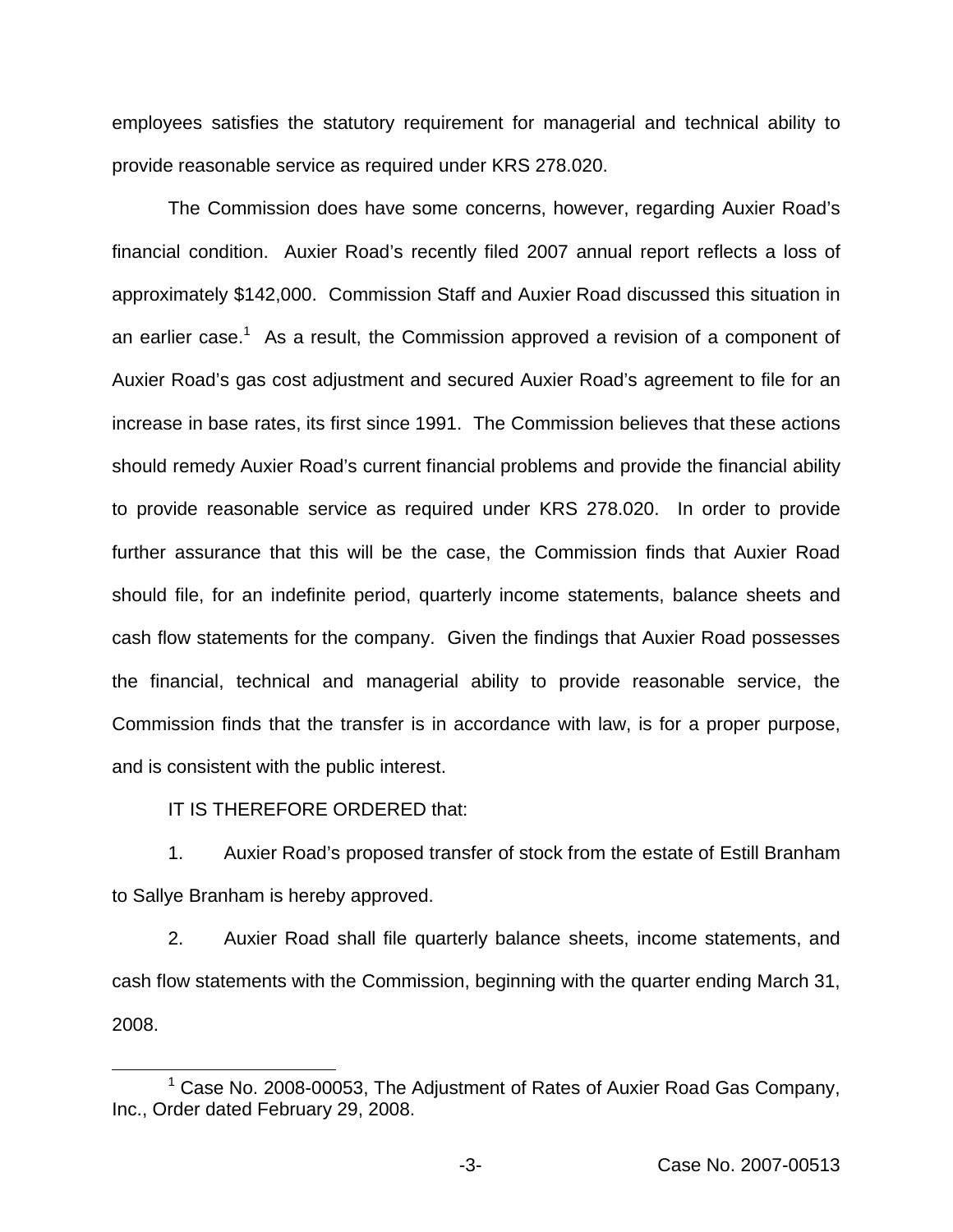employees satisfies the statutory requirement for managerial and technical ability to provide reasonable service as required under KRS 278.020.

The Commission does have some concerns, however, regarding Auxier Road's financial condition. Auxier Road's recently filed 2007 annual report reflects a loss of approximately \$142,000. Commission Staff and Auxier Road discussed this situation in an earlier case.<sup>1</sup> As a result, the Commission approved a revision of a component of Auxier Road's gas cost adjustment and secured Auxier Road's agreement to file for an increase in base rates, its first since 1991. The Commission believes that these actions should remedy Auxier Road's current financial problems and provide the financial ability to provide reasonable service as required under KRS 278.020. In order to provide further assurance that this will be the case, the Commission finds that Auxier Road should file, for an indefinite period, quarterly income statements, balance sheets and cash flow statements for the company. Given the findings that Auxier Road possesses the financial, technical and managerial ability to provide reasonable service, the Commission finds that the transfer is in accordance with law, is for a proper purpose, and is consistent with the public interest.

IT IS THEREFORE ORDERED that:

1. Auxier Road's proposed transfer of stock from the estate of Estill Branham to Sallye Branham is hereby approved.

2. Auxier Road shall file quarterly balance sheets, income statements, and cash flow statements with the Commission, beginning with the quarter ending March 31, 2008.

 $1$  Case No. 2008-00053, The Adjustment of Rates of Auxier Road Gas Company, Inc., Order dated February 29, 2008.